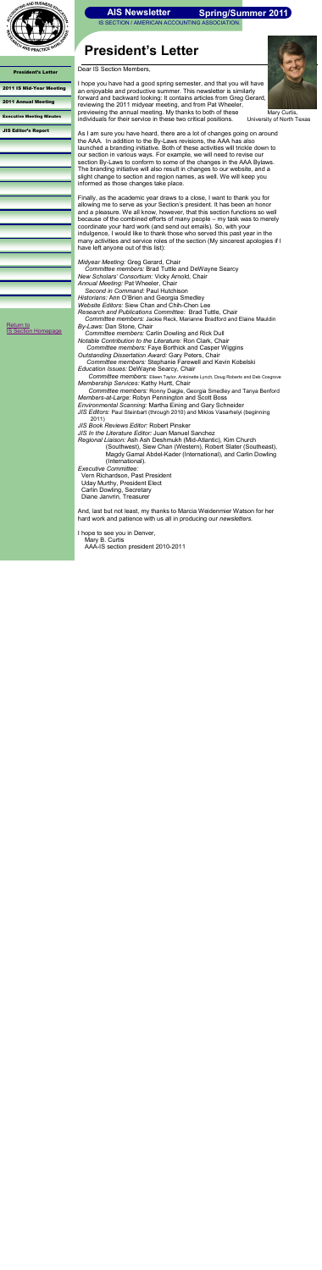IS SECTION / AMERICAN ACCOUNTING ASSOCIATION.



President's Letter

#### [2011 IS Mid-Year Meeting](#page-1-0)

[Return to](http://aaahq.org/infosys/index.html)  **[IS Section Homepage](http://aaahq.org/infosys/index.html)** 

[2011 Annual Meeting](#page-2-0)

[Executive Meeting Minutes](#page-3-0)

[JIS Editor's Report](#page-4-0)

# **President's Letter**



 Mary Curtis, University of North Texas

### **Spring/Summer 2011**

Dear IS Section Members,

I hope you have had a good spring semester, and that you will have an enjoyable and productive summer. This newsletter is similarly forward and backward looking: It contains articles from Greg Gerard, reviewing the 2011 midyear meeting, and from Pat Wheeler, previewing the annual meeting. My thanks to both of these individuals for their service in these two critical positions.

As I am sure you have heard, there are a lot of changes going on around the AAA. In addition to the By-Laws revisions, the AAA has also launched a branding initiative. Both of these activities will trickle down to our section in various ways. For example, we will need to revise our section By-Laws to conform to some of the changes in the AAA Bylaws. The branding initiative will also result in changes to our website, and a slight change to section and region names, as well. We will keep you informed as those changes take place.

Finally, as the academic year draws to a close, I want to thank you for allowing me to serve as your Section's president. It has been an honor and a pleasure. We all know, however, that this section functions so well because of the combined efforts of many people – my task was to merely coordinate your hard work (and send out emails). So, with your indulgence, I would like to thank those who served this past year in the many activities and service roles of the section (My sincerest apologies if I have left anyone out of this list):

*Midyear Meeting:* Greg Gerard, Chair *Committee members:* Brad Tuttle and DeWayne Searcy *New Scholars' Consortium:* Vicky Arnold, Chair *Annual Meeting:* Pat Wheeler, Chair *Second in Command:* Paul Hutchison

*Historians:* Ann O"Brien and Georgia Smedley *Website Editors:* Siew Chan and Chih-Chen Lee

*Research and Publications Committee:* Brad Tuttle, Chair

 *Committee members:* Jackie Reck, Marianne Bradford and Elaine Mauldin *By-Laws:* Dan Stone, Chair

 *Committee members:* Carlin Dowling and Rick Dull *Notable Contribution to the Literature:* Ron Clark, Chair

 *Committee members:* Faye Borthick and Casper Wiggins *Outstanding Dissertation Award:* Gary Peters, Chair

 *Committee members:* Stephanie Farewell and Kevin Kobelski *Education Issues:* DeWayne Searcy, Chair

 *Committee members:* Eileen Taylor, Antoinette Lynch, Doug Roberts and Deb Cosgrove *Membership Services:* Kathy Hurtt, Chair

 *Committee members:* Ronny Daigle, Georgia Smedley and Tanya Benford *Members-at-Large:* Robyn Pennington and Scott Boss

*Environmental Scanning:* Martha Eining and Gary Schneider

*JIS Editors:* Paul Steinbart (through 2010) and Miklos Vasarhelyi (beginning 2011)

*JIS Book Reviews Editor:* Robert Pinsker

*JIS In the Literature Editor:* Juan Manuel Sanchez

*Regional Liaison:* Ash Ash Deshmukh (Mid-Atlantic), Kim Church (Southwest), Siew Chan (Western), Robert Slater (Southeast), Magdy Gamal Abdel-Kader (International), and Carlin Dowling (International).

*Executive Committee:* Vern Richardson, Past President Uday Murthy, President Elect Carlin Dowling, Secretary Diane Janvrin, Treasurer

And, last but not least, my thanks to Marcia Weidenmier Watson for her hard work and patience with us all in producing our *newsletters*.

I hope to see you in Denver, Mary B. Curtis AAA-IS section president 2010-2011

<span id="page-0-0"></span>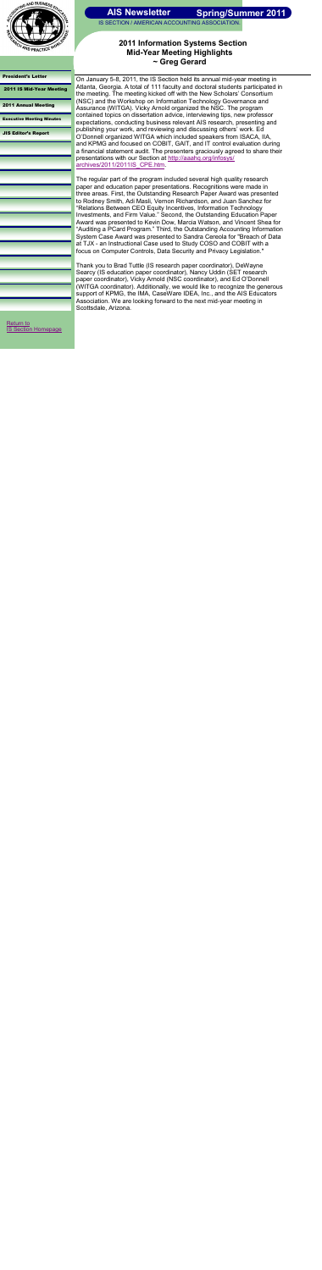

IS SECTION / AMERICAN ACCOUNTING ASSOCIATION.

#### [President's Letter](#page-0-0)

2011 IS Mid-Year Meeting

[2011 Annual Meeting](#page-2-0)

[Return to](http://aaahq.org/infosys/index.html)  **[IS Section Homepage](http://aaahq.org/infosys/index.html)** 

<span id="page-1-0"></span>

[Executive Meeting Minutes](#page-3-0)

On January 5-8, 2011, the IS Section held its annual mid-year meeting in Atlanta, Georgia. A total of 111 faculty and doctoral students participated in the meeting. The meeting kicked off with the New Scholars" Consortium (NSC) and the Workshop on Information Technology Governance and Assurance (WITGA). Vicky Arnold organized the NSC. The program contained topics on dissertation advice, interviewing tips, new professor expectations, conducting business relevant AIS research, presenting and publishing your work, and reviewing and discussing others' work. Ed O"Donnell organized WITGA which included speakers from ISACA, IIA, and KPMG and focused on COBIT, GAIT, and IT control evaluation during a financial statement audit. The presenters graciously agreed to share their presentations with our Section at [http://aaahq.org/infosys/](http://aaahq.org/infosys/archives/2011/2011IS_CPE.htm) archives/2011/2011IS CPE.htm.

[JIS Editor's Report](#page-4-0)

### **2011 Information Systems Section Mid-Year Meeting Highlights ~ Greg Gerard**

The regular part of the program included several high quality research paper and education paper presentations. Recognitions were made in three areas. First, the Outstanding Research Paper Award was presented to Rodney Smith, Adi Masli, Vernon Richardson, and Juan Sanchez for "Relations Between CEO Equity Incentives, Information Technology Investments, and Firm Value." Second, the Outstanding Education Paper Award was presented to Kevin Dow, Marcia Watson, and Vincent Shea for "Auditing a PCard Program." Third, the Outstanding Accounting Information System Case Award was presented to Sandra Cereola for "Breach of Data at TJX - an Instructional Case used to Study COSO and COBIT with a focus on Computer Controls, Data Security and Privacy Legislation."

Thank you to Brad Tuttle (IS research paper coordinator), DeWayne Searcy (IS education paper coordinator), Nancy Uddin (SET research paper coordinator), Vicky Arnold (NSC coordinator), and Ed O"Donnell (WITGA coordinator). Additionally, we would like to recognize the generous support of KPMG, the IMA, CaseWare IDEA, Inc., and the AIS Educators Association. We are looking forward to the next mid-year meeting in Scottsdale, Arizona.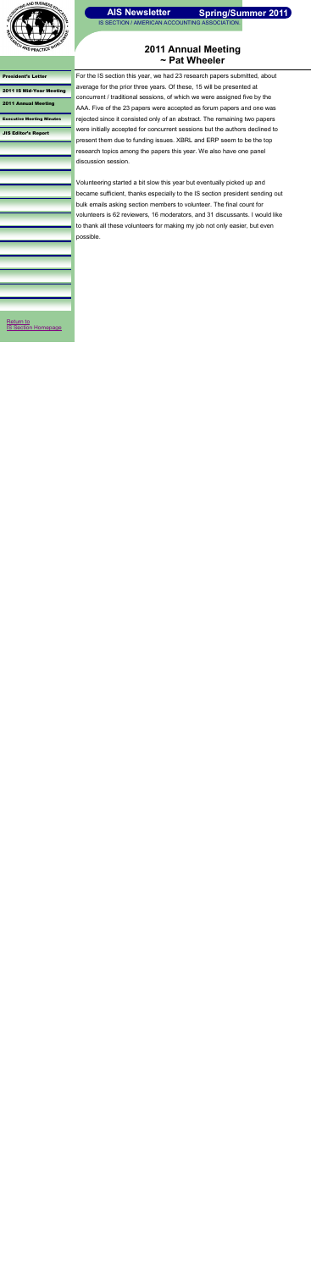

IS SECTION / AMERICAN ACCOUNTING ASSOCIATION.

### [President's Letter](#page-0-0)

[2011 IS Mid-Year Meeting](#page-1-0)

2011 Annual Meeting

[Executive Meeting Minutes](#page-3-0)

[JIS Editor's Report](#page-4-0)

## **2011 Annual Meeting ~ Pat Wheeler**

For the IS section this year, we had 23 research papers submitted, about average for the prior three years. Of these, 15 will be presented at concurrent / traditional sessions, of which we were assigned five by the AAA. Five of the 23 papers were accepted as forum papers and one was rejected since it consisted only of an abstract. The remaining two papers were initially accepted for concurrent sessions but the authors declined to present them due to funding issues. XBRL and ERP seem to be the top research topics among the papers this year. We also have one panel discussion session.

Volunteering started a bit slow this year but eventually picked up and became sufficient, thanks especially to the IS section president sending out bulk emails asking section members to volunteer. The final count for volunteers is 62 reviewers, 16 moderators, and 31 discussants. I would like to thank all these volunteers for making my job not only easier, but even possible.

Return to Section Homepage

<span id="page-2-0"></span>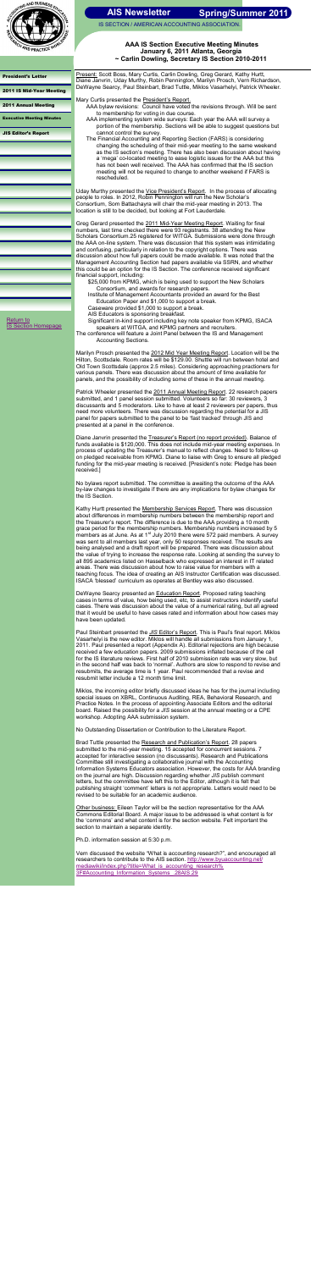

IS SECTION / AMERICAN ACCOUNTING ASSOCIATION.

#### [President's Letter](#page-0-0)

[2011 IS Mid-Year Meeting](#page-1-0)

[2011 Annual Meeting](#page-2-0)

Executive Meeting Minutes

[JIS Editor's Report](#page-4-0)

### **AAA IS Section Executive Meeting Minutes January 6, 2011 Atlanta, Georgia ~ Carlin Dowling, Secretary IS Section 2010-2011**

Present: Scott Boss, Mary Curtis, Carlin Dowling, Greg Gerard, Kathy Hurtt, Diane Janvrin, Uday Murthy, Robin Pennington, Marilyn Prosch, Vern Richardson, DeWayne Searcy, Paul Steinbart, Brad Tuttle, Miklos Vasarhelyi, Patrick Wheeler.

Mary Curtis presented the President's Report.

Uday Murthy presented the Vice President's Report. In the process of allocating people to roles. In 2012, Robin Pennington will run the New Scholar"s Consortium, Som Battachayra will chair the mid-year meeting in 2013. The location is still to be decided, but looking at Fort Lauderdale.

- AAA bylaw revisions: Council have voted the revisions through. Will be sent to membership for voting in due course.
- AAA implementing system wide surveys: Each year the AAA will survey a portion of the membership. Sections will be able to suggest questions but cannot control the survey.
- The Financial Accounting and Reporting Section (FARS) is considering changing the scheduling of their mid-year meeting to the same weekend as the IS section"s meeting. There has also been discussion about having a "mega" co-located meeting to ease logistic issues for the AAA but this has not been well received. The AAA has confirmed that the IS section meeting will not be required to change to another weekend if FARS is rescheduled.

Marilyn Prosch presented the 2012 Mid Year Meeting Report. Location will be the Hilton, Scottsdale. Room rates will be \$129.00. Shuttle will run between hotel and Old Town Scottsdale (approx 2.5 miles). Considering approaching practioners for various panels. There was discussion about the amount of time available for panels, and the possibility of including some of these in the annual meeting.

Patrick Wheeler presented the 2011 Annual Meeting Report. 22 research papers submitted, and 1 panel session submitted. Volunteers so far: 30 reviewers, 3 discussants and 5 moderators. Like to have at least 2 reviewers per papers, thus need more volunteers. There was discussion regarding the potential for a JIS panel for papers submitted to the panel to be "fast tracked" through JIS and presented at a panel in the conference.

Greg Gerard presented the 2011 Mid-Year Meeting Report. Waiting for final numbers, last time checked there were 93 registrants. 38 attending the New Scholars Consortium.25 registered for WITGA. Submissions were done through the AAA on-line system. There was discussion that this system was intimidating and confusing, particularly in relation to the copyright options. There was discussion about how full papers could be made available. It was noted that the Management Accounting Section had papers available via SSRN, and whether this could be an option for the IS Section. The conference received significant financial support, including:

Diane Janvrin presented the Treasurer's Report (no report provided). Balance of funds available is \$120,000. This does not include mid-year meeting expenses. In process of updating the Treasurer"s manual to reflect changes. Need to follow-up on pledged receivable from KPMG. Diane to liaise with Greg to ensure all pledged funding for the mid-year meeting is received. [President"s note: Pledge has been received.]

\$25,000 from KPMG, which is being used to support the New Scholars Consortium, and awards for research papers.

Institute of Management Accountants provided an award for the Best Education Paper and \$1,000 to support a break.

Caseware provided \$1,000 to support a break.

AIS Educators is sponsoring breakfast.

Kathy Hurtt presented the <u>Membership Services Report</u>. There was discussion about differences in membership numbers between the membership report and the Treasurer"s report. The difference is due to the AAA providing a 10 month grace period for the membership numbers. Membership numbers increased by 5 members as at June. As at 1<sup>st</sup> July 2010 there were 572 paid members. A survey was sent to all members last year, only 50 responses received. The results are being analysed and a draft report will be prepared. There was discussion about the value of trying to increase the response rate. Looking at sending the survey to all 895 academics listed on Hasselback who expressed an interest in IT related areas. There was discussion about how to raise value for members with a teaching focus. The idea of creating an AIS Instructor Certification was discussed. ISACA "blessed" curriculum as operates at Bentley was also discussed.

Significant in-kind support including key note speaker from KPMG, ISACA speakers at WITGA, and KPMG partners and recruiters.

The conference will feature a Joint Panel between the IS and Management Accounting Sections.

DeWayne Searcy presented an **Education Report**. Proposed rating teaching cases in terms of value, how being used, etc, to assist instructors indentify useful cases. There was discussion about the value of a numerical rating, but all agreed that it would be useful to have cases rated and information about how cases may have been updated.

Paul Steinbart presented the *JIS* Editor's Report. This is Paul's final report. Miklos Vasarhelyi is the new editor. Miklos will handle all submissions from January 1, 2011. Paul presented a report (Appendix A). Editorial rejections are high because received a few education papers. 2009 submissions inflated because of the call for the IS literature reviews. First half of 2010 submission rate was very slow, but in the second half was back to "normal". Authors are slow to respond to revise and resubmits, the average time is 1 year. Paul recommended that a revise and resubmit letter include a 12 month time limit.

Brad Tuttle presented the Research and Publication's Report. 28 papers submitted to the mid-year meeting. 15 accepted for concurrent sessions. 7 accepted for interactive session (no discussants). Research and Publications Committee still investigating a collaborative journal with the Accounting Information Systems Educators association. However, the costs for AAA branding on the journal are high. Discussion regarding whether *JIS* publish comment letters, but the committee have left this to the Editor, although it is felt that publishing straight "comment" letters is not appropriate. Letters would need to be revised to be suitable for an academic audience.

[Return to](http://aaahq.org/infosys/index.html)  **[IS Section Homepage](http://aaahq.org/infosys/index.html)** 

> No bylaws report submitted. The committee is awaiting the outcome of the AAA by-law changes to investigate if there are any implications for bylaw changes for the IS Section.

Miklos, the incoming editor briefly discussed ideas he has for the journal including special issues on XBRL, Continuous Auditing, REA, Behavioral Research, and Practice Notes. In the process of appointing Associate Editors and the editorial board. Raised the possibility for a *JIS* session at the annual meeting or a CPE workshop. Adopting AAA submission system.

No Outstanding Dissertation or Contribution to the Literature Report.

Other business: Eileen Taylor will be the section representative for the AAA Commons Editorial Board. A major issue to be addressed is what content is for the "commons" and what content is for the section website. Felt important the section to maintain a separate identity.

<span id="page-3-0"></span>Ph.D. information session at 5:30 p.m.

Vern discussed the website "What is accounting research?", and encouraged all researchers to contribute to the AIS section. [http://www.byuaccounting.net/](http://www.byuaccounting.net/mediawiki/index.php?title=What_is_accounting_research%3F%23Accounting_Information_Systems_.28AIS.29) [mediawiki/index.php?title=What\\_is\\_accounting\\_research%](http://www.byuaccounting.net/mediawiki/index.php?title=What_is_accounting_research%3F%23Accounting_Information_Systems_.28AIS.29) [3F#Accounting\\_Information\\_Systems\\_.28AIS.29](http://www.byuaccounting.net/mediawiki/index.php?title=What_is_accounting_research%3F%23Accounting_Information_Systems_.28AIS.29)